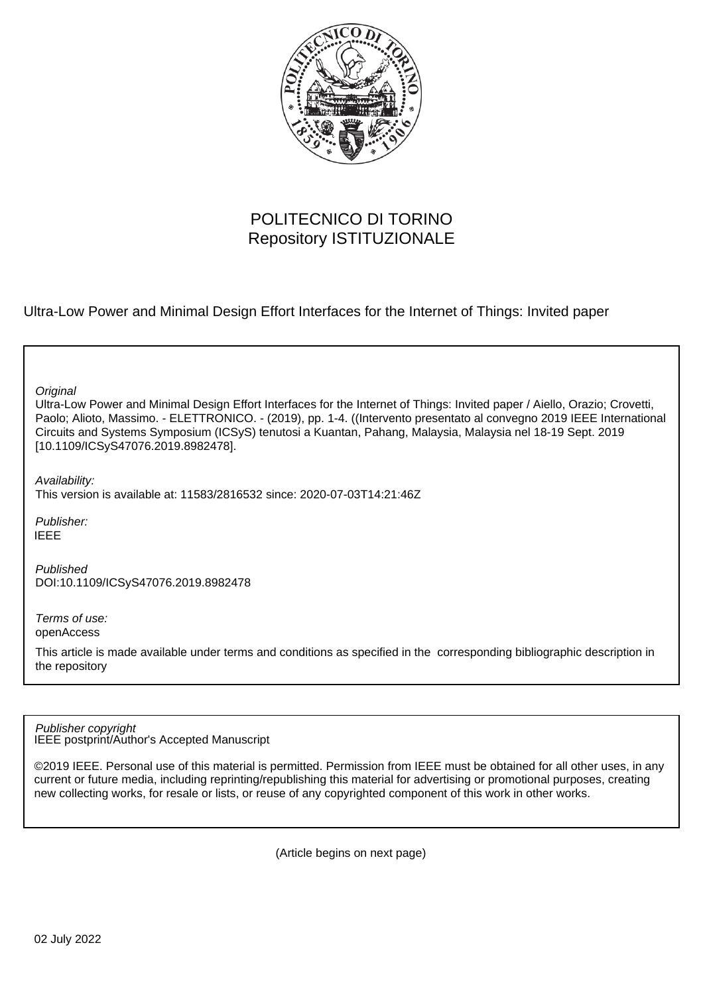

# POLITECNICO DI TORINO Repository ISTITUZIONALE

Ultra-Low Power and Minimal Design Effort Interfaces for the Internet of Things: Invited paper

**Original** 

Ultra-Low Power and Minimal Design Effort Interfaces for the Internet of Things: Invited paper / Aiello, Orazio; Crovetti, Paolo; Alioto, Massimo. - ELETTRONICO. - (2019), pp. 1-4. ((Intervento presentato al convegno 2019 IEEE International Circuits and Systems Symposium (ICSyS) tenutosi a Kuantan, Pahang, Malaysia, Malaysia nel 18-19 Sept. 2019 [10.1109/ICSyS47076.2019.8982478].

Availability: This version is available at: 11583/2816532 since: 2020-07-03T14:21:46Z

Publisher: IEEE

Published DOI:10.1109/ICSyS47076.2019.8982478

Terms of use: openAccess

This article is made available under terms and conditions as specified in the corresponding bibliographic description in the repository

IEEE postprint/Author's Accepted Manuscript Publisher copyright

©2019 IEEE. Personal use of this material is permitted. Permission from IEEE must be obtained for all other uses, in any current or future media, including reprinting/republishing this material for advertising or promotional purposes, creating new collecting works, for resale or lists, or reuse of any copyrighted component of this work in other works.

(Article begins on next page)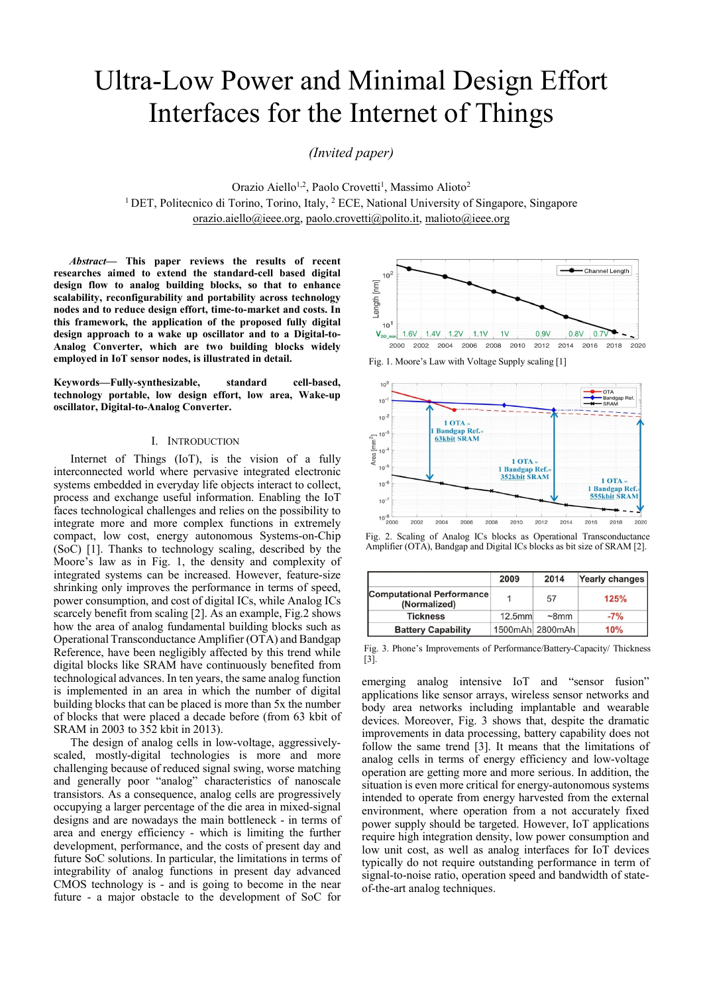# Ultra-Low Power and Minimal Design Effort Interfaces for the Internet of Things

*(Invited paper)* 

Orazio Aiello<sup>1,2</sup>, Paolo Crovetti<sup>1</sup>, Massimo Alioto<sup>2</sup> <sup>1</sup> DET, Politecnico di Torino, Torino, Italy, <sup>2</sup> ECE, National University of Singapore, Singapore orazio.aiello@ieee.org, paolo.crovetti@polito.it, malioto@ieee.org

*Abstract***— This paper reviews the results of recent researches aimed to extend the standard-cell based digital design flow to analog building blocks, so that to enhance scalability, reconfigurability and portability across technology nodes and to reduce design effort, time-to-market and costs. In this framework, the application of the proposed fully digital design approach to a wake up oscillator and to a Digital-to-Analog Converter, which are two building blocks widely employed in IoT sensor nodes, is illustrated in detail.** 

**Keywords—Fully-synthesizable, standard cell-based, technology portable, low design effort, low area, Wake-up oscillator, Digital-to-Analog Converter.** 

#### I. INTRODUCTION

Internet of Things (IoT), is the vision of a fully interconnected world where pervasive integrated electronic systems embedded in everyday life objects interact to collect, process and exchange useful information. Enabling the IoT faces technological challenges and relies on the possibility to integrate more and more complex functions in extremely compact, low cost, energy autonomous Systems-on-Chip (SoC) [1]. Thanks to technology scaling, described by the Moore's law as in Fig. 1, the density and complexity of integrated systems can be increased. However, feature-size shrinking only improves the performance in terms of speed, power consumption, and cost of digital ICs, while Analog ICs scarcely benefit from scaling [2]. As an example, Fig.2 shows how the area of analog fundamental building blocks such as Operational Transconductance Amplifier (OTA) and Bandgap Reference, have been negligibly affected by this trend while digital blocks like SRAM have continuously benefited from technological advances. In ten years, the same analog function is implemented in an area in which the number of digital building blocks that can be placed is more than 5x the number of blocks that were placed a decade before (from 63 kbit of SRAM in 2003 to 352 kbit in 2013).

The design of analog cells in low-voltage, aggressivelyscaled, mostly-digital technologies is more and more challenging because of reduced signal swing, worse matching and generally poor "analog" characteristics of nanoscale transistors. As a consequence, analog cells are progressively occupying a larger percentage of the die area in mixed-signal designs and are nowadays the main bottleneck - in terms of area and energy efficiency - which is limiting the further development, performance, and the costs of present day and future SoC solutions. In particular, the limitations in terms of integrability of analog functions in present day advanced CMOS technology is - and is going to become in the near future - a major obstacle to the development of SoC for



Fig. 1. Moore's Law with Voltage Supply scaling [1]



Fig. 2. Scaling of Analog ICs blocks as Operational Transconductance Amplifier (OTA), Bandgap and Digital ICs blocks as bit size of SRAM [2].

|                                                  | 2009   | 2014            | Yearly changes |
|--------------------------------------------------|--------|-----------------|----------------|
| <b>Computational Performance</b><br>(Normalized) |        | 57              | 125%           |
| <b>Tickness</b>                                  | 12.5mm | $\sim$ 8mm      | $-7%$          |
| <b>Battery Capability</b>                        |        | 1500mAh 2800mAh | 10%            |

Fig. 3. Phone's Improvements of Performance/Battery-Capacity/ Thickness [3].

emerging analog intensive IoT and "sensor fusion" applications like sensor arrays, wireless sensor networks and body area networks including implantable and wearable devices. Moreover, Fig. 3 shows that, despite the dramatic improvements in data processing, battery capability does not follow the same trend [3]. It means that the limitations of analog cells in terms of energy efficiency and low-voltage operation are getting more and more serious. In addition, the situation is even more critical for energy-autonomous systems intended to operate from energy harvested from the external environment, where operation from a not accurately fixed power supply should be targeted. However, IoT applications require high integration density, low power consumption and low unit cost, as well as analog interfaces for IoT devices typically do not require outstanding performance in term of signal-to-noise ratio, operation speed and bandwidth of stateof-the-art analog techniques.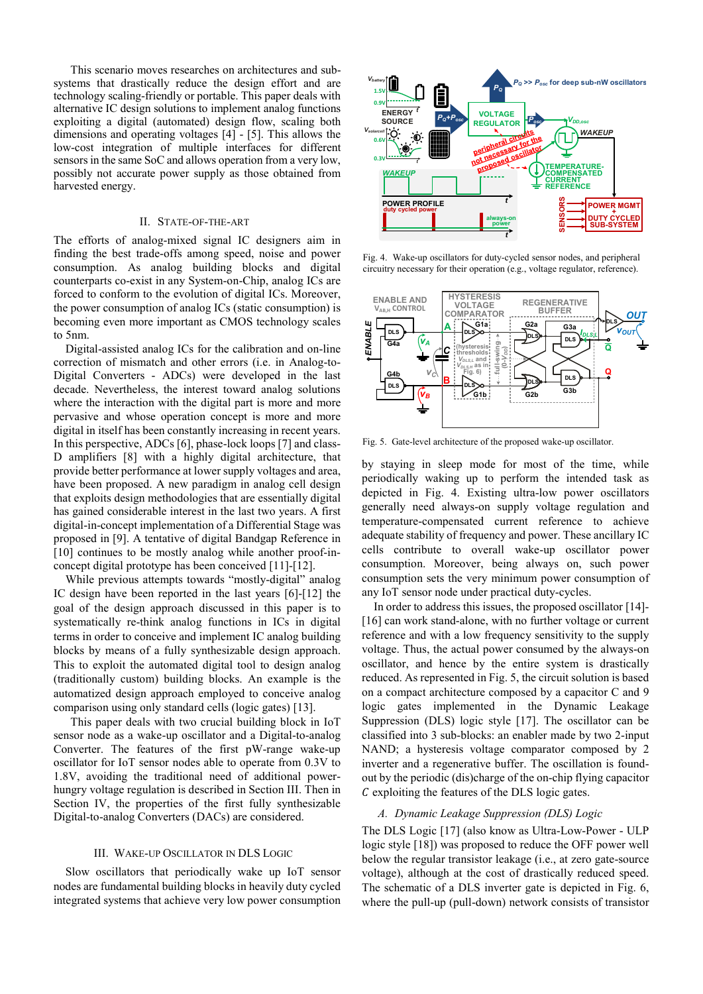This scenario moves researches on architectures and subsystems that drastically reduce the design effort and are technology scaling-friendly or portable. This paper deals with alternative IC design solutions to implement analog functions exploiting a digital (automated) design flow, scaling both dimensions and operating voltages [4] - [5]. This allows the low-cost integration of multiple interfaces for different sensors in the same SoC and allows operation from a very low, possibly not accurate power supply as those obtained from harvested energy.

#### II. STATE-OF-THE-ART

The efforts of analog-mixed signal IC designers aim in finding the best trade-offs among speed, noise and power consumption. As analog building blocks and digital counterparts co-exist in any System-on-Chip, analog ICs are forced to conform to the evolution of digital ICs. Moreover, the power consumption of analog ICs (static consumption) is becoming even more important as CMOS technology scales to 5nm.

Digital-assisted analog ICs for the calibration and on-line correction of mismatch and other errors (i.e. in Analog-to-Digital Converters - ADCs) were developed in the last decade. Nevertheless, the interest toward analog solutions where the interaction with the digital part is more and more pervasive and whose operation concept is more and more digital in itself has been constantly increasing in recent years. In this perspective, ADCs [6], phase-lock loops [7] and class-D amplifiers [8] with a highly digital architecture, that provide better performance at lower supply voltages and area, have been proposed. A new paradigm in analog cell design that exploits design methodologies that are essentially digital has gained considerable interest in the last two years. A first digital-in-concept implementation of a Differential Stage was proposed in [9]. A tentative of digital Bandgap Reference in [10] continues to be mostly analog while another proof-inconcept digital prototype has been conceived [11]-[12].

While previous attempts towards "mostly-digital" analog IC design have been reported in the last years [6]-[12] the goal of the design approach discussed in this paper is to systematically re-think analog functions in ICs in digital terms in order to conceive and implement IC analog building blocks by means of a fully synthesizable design approach. This to exploit the automated digital tool to design analog (traditionally custom) building blocks. An example is the automatized design approach employed to conceive analog comparison using only standard cells (logic gates) [13].

This paper deals with two crucial building block in IoT sensor node as a wake-up oscillator and a Digital-to-analog Converter. The features of the first pW-range wake-up oscillator for IoT sensor nodes able to operate from 0.3V to 1.8V, avoiding the traditional need of additional powerhungry voltage regulation is described in Section III. Then in Section IV, the properties of the first fully synthesizable Digital-to-analog Converters (DACs) are considered.

#### III. WAKE-UP OSCILLATOR IN DLS LOGIC

Slow oscillators that periodically wake up IoT sensor nodes are fundamental building blocks in heavily duty cycled integrated systems that achieve very low power consumption



Fig. 4. Wake-up oscillators for duty-cycled sensor nodes, and peripheral circuitry necessary for their operation (e.g., voltage regulator, reference).



Fig. 5. Gate-level architecture of the proposed wake-up oscillator.

by staying in sleep mode for most of the time, while periodically waking up to perform the intended task as depicted in Fig. 4. Existing ultra-low power oscillators generally need always-on supply voltage regulation and temperature-compensated current reference to achieve adequate stability of frequency and power. These ancillary IC cells contribute to overall wake-up oscillator power consumption. Moreover, being always on, such power consumption sets the very minimum power consumption of any IoT sensor node under practical duty-cycles.

In order to address this issues, the proposed oscillator [14]- [16] can work stand-alone, with no further voltage or current reference and with a low frequency sensitivity to the supply voltage. Thus, the actual power consumed by the always-on oscillator, and hence by the entire system is drastically reduced. As represented in Fig. 5, the circuit solution is based on a compact architecture composed by a capacitor C and 9 logic gates implemented in the Dynamic Leakage Suppression (DLS) logic style [17]. The oscillator can be classified into 3 sub-blocks: an enabler made by two 2-input NAND; a hysteresis voltage comparator composed by 2 inverter and a regenerative buffer. The oscillation is foundout by the periodic (dis)charge of the on-chip flying capacitor  $C$  exploiting the features of the DLS logic gates. Where the puller of the pull-up (see the pull-up (which is a state-to-<br>
where the pull-down) network consists of the right of the pull-up (pull-down) network consists of the right of transisting the pull-of transistor and

#### *A. Dynamic Leakage Suppression (DLS) Logic*

The DLS Logic [17] (also know as Ultra-Low-Power - ULP logic style [18]) was proposed to reduce the OFF power well below the regular transistor leakage (i.e., at zero gate-source voltage), although at the cost of drastically reduced speed. The schematic of a DLS inverter gate is depicted in Fig. 6.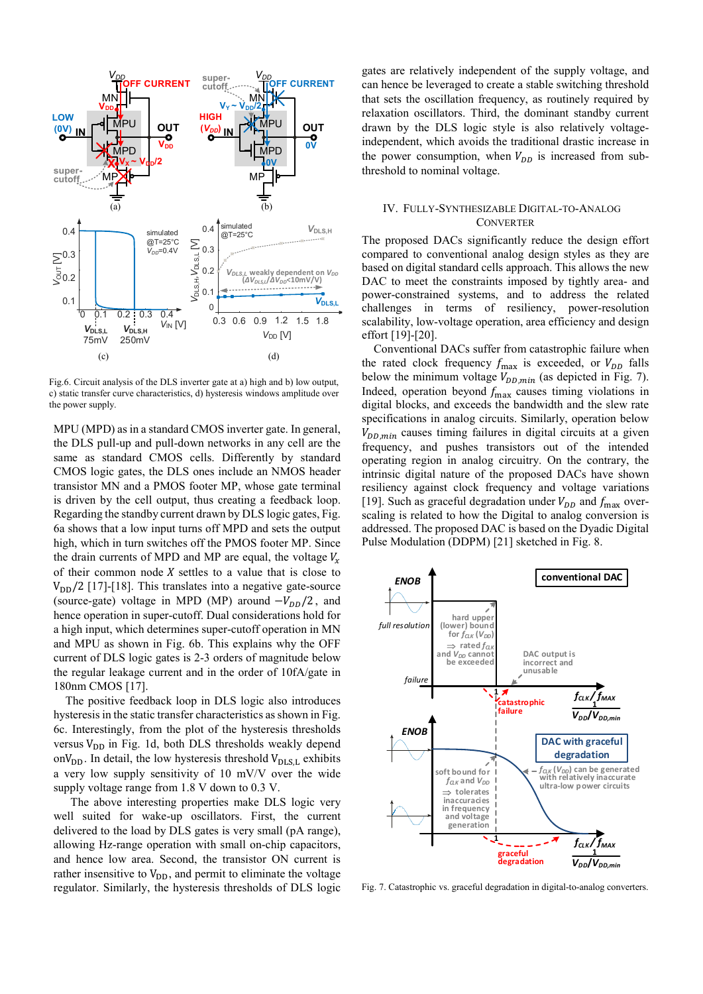

Fig.6. Circuit analysis of the DLS inverter gate at a) high and b) low output, c) static transfer curve characteristics, d) hysteresis windows amplitude over the power supply.

MPU (MPD) as in a standard CMOS inverter gate. In general, the DLS pull-up and pull-down networks in any cell are the same as standard CMOS cells. Differently by standard CMOS logic gates, the DLS ones include an NMOS header transistor MN and a PMOS footer MP, whose gate terminal is driven by the cell output, thus creating a feedback loop. Regarding the standby current drawn by DLS logic gates, Fig. 6a shows that a low input turns off MPD and sets the output high, which in turn switches off the PMOS footer MP. Since the drain currents of MPD and MP are equal, the voltage  $V_r$ of their common node  $X$  settles to a value that is close to  $V_{DD}/2$  [17]-[18]. This translates into a negative gate-source (source-gate) voltage in MPD (MP) around  $-V_{DD}/2$ , and hence operation in super-cutoff. Dual considerations hold for a high input, which determines super-cutoff operation in MN and MPU as shown in Fig. 6b. This explains why the OFF current of DLS logic gates is 2-3 orders of magnitude below the regular leakage current and in the order of 10fA/gate in 180nm CMOS [17].

The positive feedback loop in DLS logic also introduces hysteresis in the static transfer characteristics as shown in Fig. 6c. Interestingly, from the plot of the hysteresis thresholds versus  $V_{DD}$  in Fig. 1d, both DLS thresholds weakly depend on $V_{DD}$ . In detail, the low hysteresis threshold  $V_{DLS,L}$  exhibits a very low supply sensitivity of 10 mV/V over the wide supply voltage range from 1.8 V down to 0.3 V.

The above interesting properties make DLS logic very well suited for wake-up oscillators. First, the current delivered to the load by DLS gates is very small (pA range), allowing Hz-range operation with small on-chip capacitors, and hence low area. Second, the transistor ON current is rather insensitive to  $V_{DD}$ , and permit to eliminate the voltage regulator. Similarly, the hysteresis thresholds of DLS logic gates are relatively independent of the supply voltage, and can hence be leveraged to create a stable switching threshold that sets the oscillation frequency, as routinely required by relaxation oscillators. Third, the dominant standby current drawn by the DLS logic style is also relatively voltageindependent, which avoids the traditional drastic increase in the power consumption, when  $V_{DD}$  is increased from subthreshold to nominal voltage.

### IV. FULLY-SYNTHESIZABLE DIGITAL-TO-ANALOG **CONVERTER**

The proposed DACs significantly reduce the design effort compared to conventional analog design styles as they are based on digital standard cells approach. This allows the new DAC to meet the constraints imposed by tightly area- and power-constrained systems, and to address the related challenges in terms of resiliency, power-resolution scalability, low-voltage operation, area efficiency and design effort [19]-[20].

Conventional DACs suffer from catastrophic failure when the rated clock frequency  $f_{\text{max}}$  is exceeded, or  $V_{DD}$  falls below the minimum voltage  $V_{DD,min}$  (as depicted in Fig. 7). Indeed, operation beyond  $f_{\text{max}}$  causes timing violations in digital blocks, and exceeds the bandwidth and the slew rate specifications in analog circuits. Similarly, operation below  $V_{DD,min}$  causes timing failures in digital circuits at a given frequency, and pushes transistors out of the intended operating region in analog circuitry. On the contrary, the intrinsic digital nature of the proposed DACs have shown resiliency against clock frequency and voltage variations [19]. Such as graceful degradation under  $V_{DD}$  and  $f_{\text{max}}$  overscaling is related to how the Digital to analog conversion is addressed. The proposed DAC is based on the Dyadic Digital Pulse Modulation (DDPM) [21] sketched in Fig. 8.



Fig. 7. Catastrophic vs. graceful degradation in digital-to-analog converters.